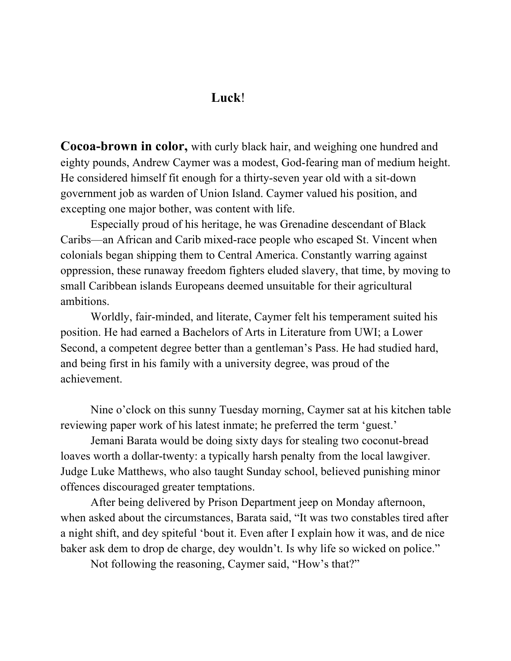## **Luck**!

**Cocoa-brown in color,** with curly black hair, and weighing one hundred and eighty pounds, Andrew Caymer was a modest, God-fearing man of medium height. He considered himself fit enough for a thirty-seven year old with a sit-down government job as warden of Union Island. Caymer valued his position, and excepting one major bother, was content with life.

Especially proud of his heritage, he was Grenadine descendant of Black Caribs—an African and Carib mixed-race people who escaped St. Vincent when colonials began shipping them to Central America. Constantly warring against oppression, these runaway freedom fighters eluded slavery, that time, by moving to small Caribbean islands Europeans deemed unsuitable for their agricultural ambitions.

Worldly, fair-minded, and literate, Caymer felt his temperament suited his position. He had earned a Bachelors of Arts in Literature from UWI; a Lower Second, a competent degree better than a gentleman's Pass. He had studied hard, and being first in his family with a university degree, was proud of the achievement.

Nine o'clock on this sunny Tuesday morning, Caymer sat at his kitchen table reviewing paper work of his latest inmate; he preferred the term 'guest.'

Jemani Barata would be doing sixty days for stealing two coconut-bread loaves worth a dollar-twenty: a typically harsh penalty from the local lawgiver. Judge Luke Matthews, who also taught Sunday school, believed punishing minor offences discouraged greater temptations.

After being delivered by Prison Department jeep on Monday afternoon, when asked about the circumstances, Barata said, "It was two constables tired after a night shift, and dey spiteful 'bout it. Even after I explain how it was, and de nice baker ask dem to drop de charge, dey wouldn't. Is why life so wicked on police."

Not following the reasoning, Caymer said, "How's that?"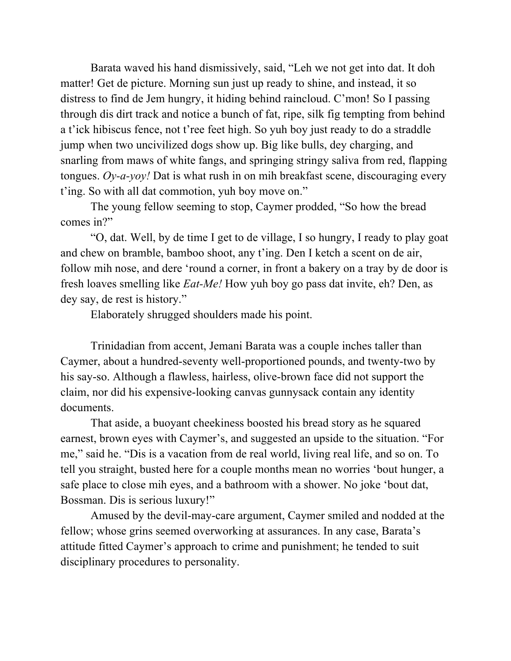Barata waved his hand dismissively, said, "Leh we not get into dat. It doh matter! Get de picture. Morning sun just up ready to shine, and instead, it so distress to find de Jem hungry, it hiding behind raincloud. C'mon! So I passing through dis dirt track and notice a bunch of fat, ripe, silk fig tempting from behind a t'ick hibiscus fence, not t'ree feet high. So yuh boy just ready to do a straddle jump when two uncivilized dogs show up. Big like bulls, dey charging, and snarling from maws of white fangs, and springing stringy saliva from red, flapping tongues. *Oy-a-yoy!* Dat is what rush in on mih breakfast scene, discouraging every t'ing. So with all dat commotion, yuh boy move on."

The young fellow seeming to stop, Caymer prodded, "So how the bread comes in?"

"O, dat. Well, by de time I get to de village, I so hungry, I ready to play goat and chew on bramble, bamboo shoot, any t'ing. Den I ketch a scent on de air, follow mih nose, and dere 'round a corner, in front a bakery on a tray by de door is fresh loaves smelling like *Eat-Me!* How yuh boy go pass dat invite, eh? Den, as dey say, de rest is history."

Elaborately shrugged shoulders made his point.

Trinidadian from accent, Jemani Barata was a couple inches taller than Caymer, about a hundred-seventy well-proportioned pounds, and twenty-two by his say-so. Although a flawless, hairless, olive-brown face did not support the claim, nor did his expensive-looking canvas gunnysack contain any identity documents.

That aside, a buoyant cheekiness boosted his bread story as he squared earnest, brown eyes with Caymer's, and suggested an upside to the situation. "For me," said he. "Dis is a vacation from de real world, living real life, and so on. To tell you straight, busted here for a couple months mean no worries 'bout hunger, a safe place to close mih eyes, and a bathroom with a shower. No joke 'bout dat, Bossman. Dis is serious luxury!"

Amused by the devil-may-care argument, Caymer smiled and nodded at the fellow; whose grins seemed overworking at assurances. In any case, Barata's attitude fitted Caymer's approach to crime and punishment; he tended to suit disciplinary procedures to personality.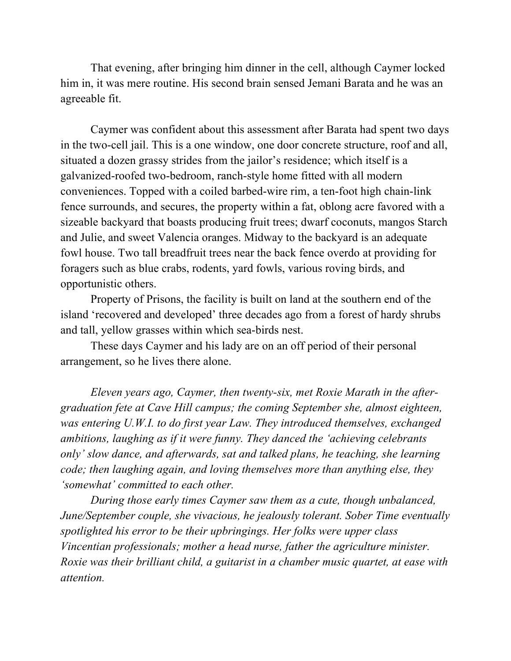That evening, after bringing him dinner in the cell, although Caymer locked him in, it was mere routine. His second brain sensed Jemani Barata and he was an agreeable fit.

Caymer was confident about this assessment after Barata had spent two days in the two-cell jail. This is a one window, one door concrete structure, roof and all, situated a dozen grassy strides from the jailor's residence; which itself is a galvanized-roofed two-bedroom, ranch-style home fitted with all modern conveniences. Topped with a coiled barbed-wire rim, a ten-foot high chain-link fence surrounds, and secures, the property within a fat, oblong acre favored with a sizeable backyard that boasts producing fruit trees; dwarf coconuts, mangos Starch and Julie, and sweet Valencia oranges. Midway to the backyard is an adequate fowl house. Two tall breadfruit trees near the back fence overdo at providing for foragers such as blue crabs, rodents, yard fowls, various roving birds, and opportunistic others.

Property of Prisons, the facility is built on land at the southern end of the island 'recovered and developed' three decades ago from a forest of hardy shrubs and tall, yellow grasses within which sea-birds nest.

These days Caymer and his lady are on an off period of their personal arrangement, so he lives there alone.

*Eleven years ago, Caymer, then twenty-six, met Roxie Marath in the aftergraduation fete at Cave Hill campus; the coming September she, almost eighteen, was entering U.W.I. to do first year Law. They introduced themselves, exchanged ambitions, laughing as if it were funny. They danced the 'achieving celebrants only' slow dance, and afterwards, sat and talked plans, he teaching, she learning code; then laughing again, and loving themselves more than anything else, they 'somewhat' committed to each other.* 

*During those early times Caymer saw them as a cute, though unbalanced, June/September couple, she vivacious, he jealously tolerant. Sober Time eventually spotlighted his error to be their upbringings. Her folks were upper class Vincentian professionals; mother a head nurse, father the agriculture minister. Roxie was their brilliant child, a guitarist in a chamber music quartet, at ease with attention.*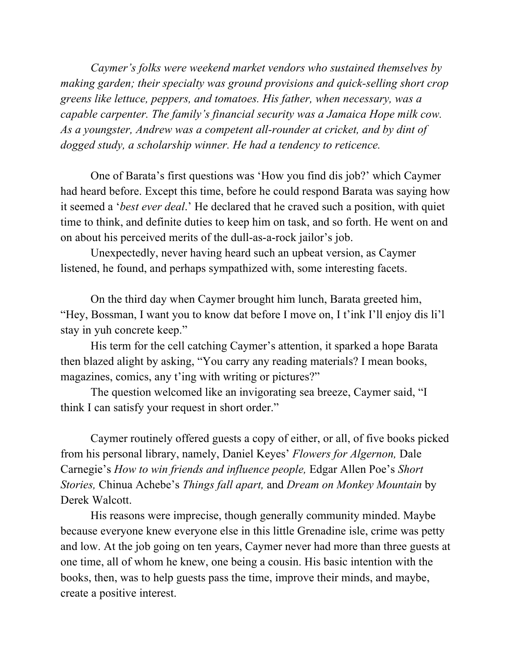*Caymer's folks were weekend market vendors who sustained themselves by making garden; their specialty was ground provisions and quick-selling short crop greens like lettuce, peppers, and tomatoes. His father, when necessary, was a capable carpenter. The family's financial security was a Jamaica Hope milk cow. As a youngster, Andrew was a competent all-rounder at cricket, and by dint of dogged study, a scholarship winner. He had a tendency to reticence.* 

One of Barata's first questions was 'How you find dis job?' which Caymer had heard before. Except this time, before he could respond Barata was saying how it seemed a '*best ever deal*.' He declared that he craved such a position, with quiet time to think, and definite duties to keep him on task, and so forth. He went on and on about his perceived merits of the dull-as-a-rock jailor's job.

Unexpectedly, never having heard such an upbeat version, as Caymer listened, he found, and perhaps sympathized with, some interesting facets.

On the third day when Caymer brought him lunch, Barata greeted him, "Hey, Bossman, I want you to know dat before I move on, I t'ink I'll enjoy dis li'l stay in yuh concrete keep."

His term for the cell catching Caymer's attention, it sparked a hope Barata then blazed alight by asking, "You carry any reading materials? I mean books, magazines, comics, any t'ing with writing or pictures?"

The question welcomed like an invigorating sea breeze, Caymer said, "I think I can satisfy your request in short order."

Caymer routinely offered guests a copy of either, or all, of five books picked from his personal library, namely, Daniel Keyes' *Flowers for Algernon,* Dale Carnegie's *How to win friends and influence people,* Edgar Allen Poe's *Short Stories,* Chinua Achebe's *Things fall apart,* and *Dream on Monkey Mountain* by Derek Walcott.

His reasons were imprecise, though generally community minded. Maybe because everyone knew everyone else in this little Grenadine isle, crime was petty and low. At the job going on ten years, Caymer never had more than three guests at one time, all of whom he knew, one being a cousin. His basic intention with the books, then, was to help guests pass the time, improve their minds, and maybe, create a positive interest.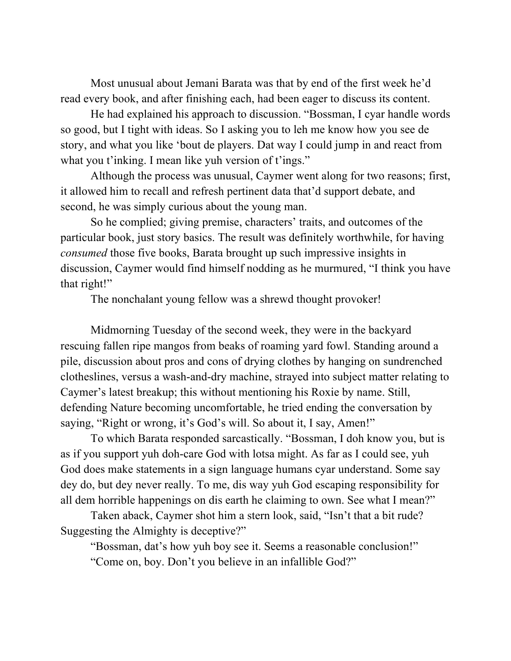Most unusual about Jemani Barata was that by end of the first week he'd read every book, and after finishing each, had been eager to discuss its content.

He had explained his approach to discussion. "Bossman, I cyar handle words so good, but I tight with ideas. So I asking you to leh me know how you see de story, and what you like 'bout de players. Dat way I could jump in and react from what you t'inking. I mean like yuh version of t'ings."

Although the process was unusual, Caymer went along for two reasons; first, it allowed him to recall and refresh pertinent data that'd support debate, and second, he was simply curious about the young man.

So he complied; giving premise, characters' traits, and outcomes of the particular book, just story basics. The result was definitely worthwhile, for having *consumed* those five books, Barata brought up such impressive insights in discussion, Caymer would find himself nodding as he murmured, "I think you have that right!"

The nonchalant young fellow was a shrewd thought provoker!

Midmorning Tuesday of the second week, they were in the backyard rescuing fallen ripe mangos from beaks of roaming yard fowl. Standing around a pile, discussion about pros and cons of drying clothes by hanging on sundrenched clotheslines, versus a wash-and-dry machine, strayed into subject matter relating to Caymer's latest breakup; this without mentioning his Roxie by name. Still, defending Nature becoming uncomfortable, he tried ending the conversation by saying, "Right or wrong, it's God's will. So about it, I say, Amen!"

To which Barata responded sarcastically. "Bossman, I doh know you, but is as if you support yuh doh-care God with lotsa might. As far as I could see, yuh God does make statements in a sign language humans cyar understand. Some say dey do, but dey never really. To me, dis way yuh God escaping responsibility for all dem horrible happenings on dis earth he claiming to own. See what I mean?"

Taken aback, Caymer shot him a stern look, said, "Isn't that a bit rude? Suggesting the Almighty is deceptive?"

"Bossman, dat's how yuh boy see it. Seems a reasonable conclusion!" "Come on, boy. Don't you believe in an infallible God?"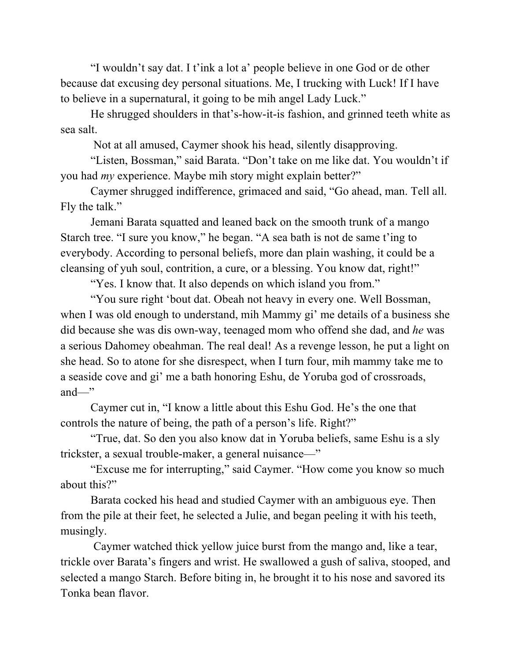"I wouldn't say dat. I t'ink a lot a' people believe in one God or de other because dat excusing dey personal situations. Me, I trucking with Luck! If I have to believe in a supernatural, it going to be mih angel Lady Luck."

He shrugged shoulders in that's-how-it-is fashion, and grinned teeth white as sea salt.

Not at all amused, Caymer shook his head, silently disapproving.

"Listen, Bossman," said Barata. "Don't take on me like dat. You wouldn't if you had *my* experience. Maybe mih story might explain better?"

Caymer shrugged indifference, grimaced and said, "Go ahead, man. Tell all. Fly the talk."

Jemani Barata squatted and leaned back on the smooth trunk of a mango Starch tree. "I sure you know," he began. "A sea bath is not de same t'ing to everybody. According to personal beliefs, more dan plain washing, it could be a cleansing of yuh soul, contrition, a cure, or a blessing. You know dat, right!"

"Yes. I know that. It also depends on which island you from."

"You sure right 'bout dat. Obeah not heavy in every one. Well Bossman, when I was old enough to understand, mih Mammy gi' me details of a business she did because she was dis own-way, teenaged mom who offend she dad, and *he* was a serious Dahomey obeahman. The real deal! As a revenge lesson, he put a light on she head. So to atone for she disrespect, when I turn four, mih mammy take me to a seaside cove and gi' me a bath honoring Eshu, de Yoruba god of crossroads, and—"

Caymer cut in, "I know a little about this Eshu God. He's the one that controls the nature of being, the path of a person's life. Right?"

"True, dat. So den you also know dat in Yoruba beliefs, same Eshu is a sly trickster, a sexual trouble-maker, a general nuisance—"

"Excuse me for interrupting," said Caymer. "How come you know so much about this?"

Barata cocked his head and studied Caymer with an ambiguous eye. Then from the pile at their feet, he selected a Julie, and began peeling it with his teeth, musingly.

Caymer watched thick yellow juice burst from the mango and, like a tear, trickle over Barata's fingers and wrist. He swallowed a gush of saliva, stooped, and selected a mango Starch. Before biting in, he brought it to his nose and savored its Tonka bean flavor.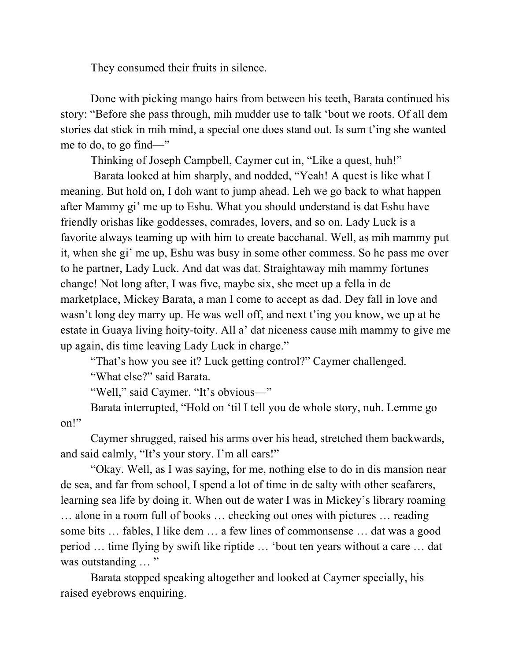They consumed their fruits in silence.

Done with picking mango hairs from between his teeth, Barata continued his story: "Before she pass through, mih mudder use to talk 'bout we roots. Of all dem stories dat stick in mih mind, a special one does stand out. Is sum t'ing she wanted me to do, to go find—"

Thinking of Joseph Campbell, Caymer cut in, "Like a quest, huh!"

Barata looked at him sharply, and nodded, "Yeah! A quest is like what I meaning. But hold on, I doh want to jump ahead. Leh we go back to what happen after Mammy gi' me up to Eshu. What you should understand is dat Eshu have friendly orishas like goddesses, comrades, lovers, and so on. Lady Luck is a favorite always teaming up with him to create bacchanal. Well, as mih mammy put it, when she gi' me up, Eshu was busy in some other commess. So he pass me over to he partner, Lady Luck. And dat was dat. Straightaway mih mammy fortunes change! Not long after, I was five, maybe six, she meet up a fella in de marketplace, Mickey Barata, a man I come to accept as dad. Dey fall in love and wasn't long dey marry up. He was well off, and next t'ing you know, we up at he estate in Guaya living hoity-toity. All a' dat niceness cause mih mammy to give me up again, dis time leaving Lady Luck in charge."

"That's how you see it? Luck getting control?" Caymer challenged.

"What else?" said Barata.

"Well," said Caymer. "It's obvious—"

Barata interrupted, "Hold on 'til I tell you de whole story, nuh. Lemme go on!"

Caymer shrugged, raised his arms over his head, stretched them backwards, and said calmly, "It's your story. I'm all ears!"

"Okay. Well, as I was saying, for me, nothing else to do in dis mansion near de sea, and far from school, I spend a lot of time in de salty with other seafarers, learning sea life by doing it. When out de water I was in Mickey's library roaming … alone in a room full of books … checking out ones with pictures … reading some bits … fables, I like dem … a few lines of commonsense … dat was a good period … time flying by swift like riptide … 'bout ten years without a care … dat was outstanding ... "

Barata stopped speaking altogether and looked at Caymer specially, his raised eyebrows enquiring.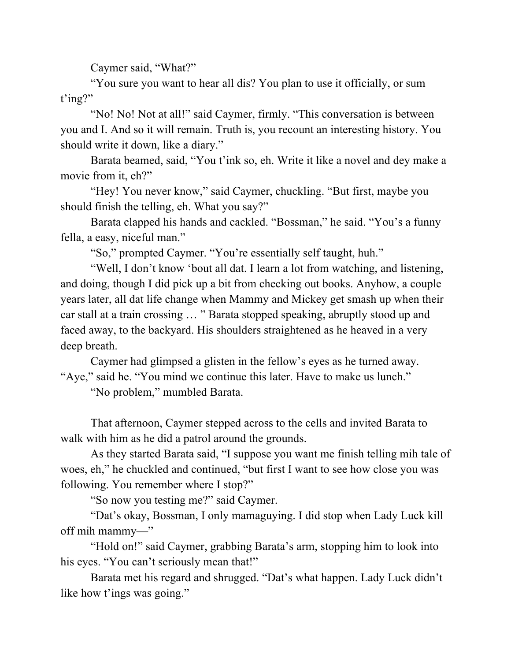Caymer said, "What?"

"You sure you want to hear all dis? You plan to use it officially, or sum t'ing?"

"No! No! Not at all!" said Caymer, firmly. "This conversation is between you and I. And so it will remain. Truth is, you recount an interesting history. You should write it down, like a diary."

Barata beamed, said, "You t'ink so, eh. Write it like a novel and dey make a movie from it, eh?"

"Hey! You never know," said Caymer, chuckling. "But first, maybe you should finish the telling, eh. What you say?"

Barata clapped his hands and cackled. "Bossman," he said. "You's a funny fella, a easy, niceful man."

"So," prompted Caymer. "You're essentially self taught, huh."

"Well, I don't know 'bout all dat. I learn a lot from watching, and listening, and doing, though I did pick up a bit from checking out books. Anyhow, a couple years later, all dat life change when Mammy and Mickey get smash up when their car stall at a train crossing … " Barata stopped speaking, abruptly stood up and faced away, to the backyard. His shoulders straightened as he heaved in a very deep breath.

Caymer had glimpsed a glisten in the fellow's eyes as he turned away. "Aye," said he. "You mind we continue this later. Have to make us lunch."

"No problem," mumbled Barata.

That afternoon, Caymer stepped across to the cells and invited Barata to walk with him as he did a patrol around the grounds.

As they started Barata said, "I suppose you want me finish telling mih tale of woes, eh," he chuckled and continued, "but first I want to see how close you was following. You remember where I stop?"

"So now you testing me?" said Caymer.

"Dat's okay, Bossman, I only mamaguying. I did stop when Lady Luck kill off mih mammy—"

"Hold on!" said Caymer, grabbing Barata's arm, stopping him to look into his eyes. "You can't seriously mean that!"

Barata met his regard and shrugged. "Dat's what happen. Lady Luck didn't like how t'ings was going."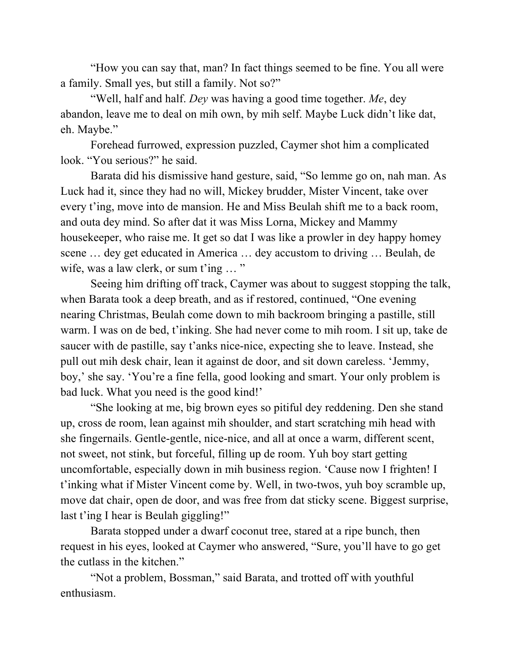"How you can say that, man? In fact things seemed to be fine. You all were a family. Small yes, but still a family. Not so?"

"Well, half and half. *Dey* was having a good time together. *Me*, dey abandon, leave me to deal on mih own, by mih self. Maybe Luck didn't like dat, eh. Maybe."

Forehead furrowed, expression puzzled, Caymer shot him a complicated look. "You serious?" he said.

Barata did his dismissive hand gesture, said, "So lemme go on, nah man. As Luck had it, since they had no will, Mickey brudder, Mister Vincent, take over every t'ing, move into de mansion. He and Miss Beulah shift me to a back room, and outa dey mind. So after dat it was Miss Lorna, Mickey and Mammy housekeeper, who raise me. It get so dat I was like a prowler in dey happy homey scene … dey get educated in America … dey accustom to driving … Beulah, de wife, was a law clerk, or sum t'ing ... "

Seeing him drifting off track, Caymer was about to suggest stopping the talk, when Barata took a deep breath, and as if restored, continued, "One evening nearing Christmas, Beulah come down to mih backroom bringing a pastille, still warm. I was on de bed, t'inking. She had never come to mih room. I sit up, take de saucer with de pastille, say t'anks nice-nice, expecting she to leave. Instead, she pull out mih desk chair, lean it against de door, and sit down careless. 'Jemmy, boy,' she say. 'You're a fine fella, good looking and smart. Your only problem is bad luck. What you need is the good kind!'

"She looking at me, big brown eyes so pitiful dey reddening. Den she stand up, cross de room, lean against mih shoulder, and start scratching mih head with she fingernails. Gentle-gentle, nice-nice, and all at once a warm, different scent, not sweet, not stink, but forceful, filling up de room. Yuh boy start getting uncomfortable, especially down in mih business region. 'Cause now I frighten! I t'inking what if Mister Vincent come by. Well, in two-twos, yuh boy scramble up, move dat chair, open de door, and was free from dat sticky scene. Biggest surprise, last t'ing I hear is Beulah giggling!"

Barata stopped under a dwarf coconut tree, stared at a ripe bunch, then request in his eyes, looked at Caymer who answered, "Sure, you'll have to go get the cutlass in the kitchen."

"Not a problem, Bossman," said Barata, and trotted off with youthful enthusiasm.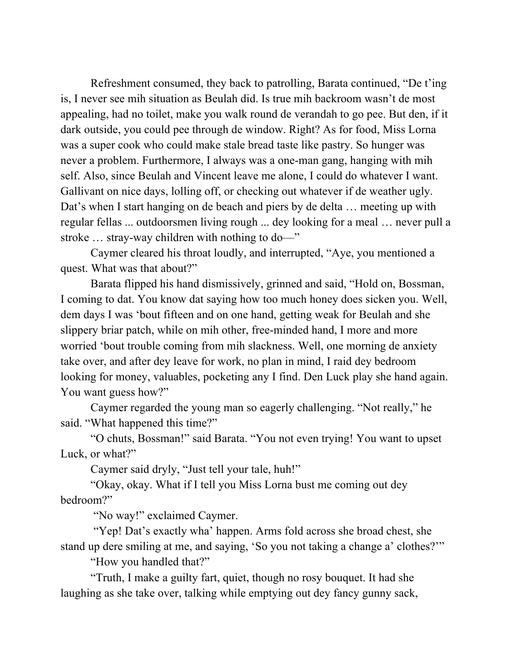Refreshment consumed, they back to patrolling, Barata continued, "De t'ing is, I never see mih situation as Beulah did. Is true mih backroom wasn't de most appealing, had no toilet, make you walk round de verandah to go pee. But den, if it dark outside, you could pee through de window. Right? As for food, Miss Lorna was a super cook who could make stale bread taste like pastry. So hunger was never a problem. Furthermore, I always was a one-man gang, hanging with mih self. Also, since Beulah and Vincent leave me alone, I could do whatever I want. Gallivant on nice days, lolling off, or checking out whatever if de weather ugly. Dat's when I start hanging on de beach and piers by de delta ... meeting up with regular fellas ... outdoorsmen living rough ... dey looking for a meal … never pull a stroke … stray-way children with nothing to do—"

Caymer cleared his throat loudly, and interrupted, "Aye, you mentioned a quest. What was that about?"

Barata flipped his hand dismissively, grinned and said, "Hold on, Bossman, I coming to dat. You know dat saying how too much honey does sicken you. Well, dem days I was 'bout fifteen and on one hand, getting weak for Beulah and she slippery briar patch, while on mih other, free-minded hand, I more and more worried 'bout trouble coming from mih slackness. Well, one morning de anxiety take over, and after dey leave for work, no plan in mind, I raid dey bedroom looking for money, valuables, pocketing any I find. Den Luck play she hand again. You want guess how?"

Caymer regarded the young man so eagerly challenging. "Not really," he said. "What happened this time?"

"O chuts, Bossman!" said Barata. "You not even trying! You want to upset Luck, or what?"

Caymer said dryly, "Just tell your tale, huh!"

"Okay, okay. What if I tell you Miss Lorna bust me coming out dey bedroom?"

"No way!" exclaimed Caymer.

"Yep! Dat's exactly wha' happen. Arms fold across she broad chest, she stand up dere smiling at me, and saying, 'So you not taking a change a' clothes?'"

"How you handled that?"

"Truth, I make a guilty fart, quiet, though no rosy bouquet. It had she laughing as she take over, talking while emptying out dey fancy gunny sack,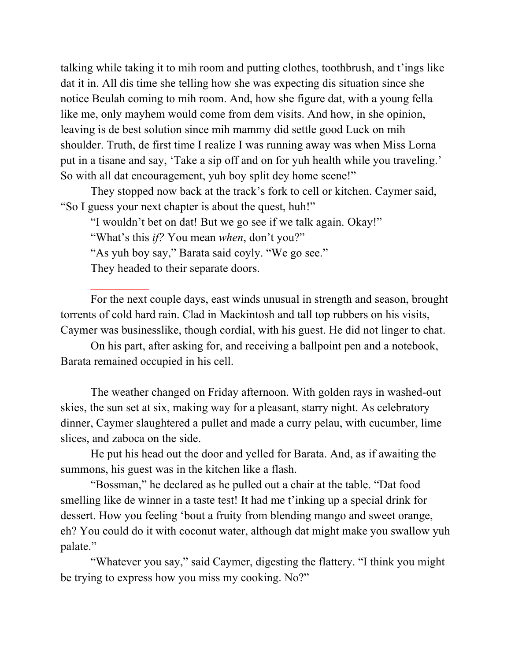talking while taking it to mih room and putting clothes, toothbrush, and t'ings like dat it in. All dis time she telling how she was expecting dis situation since she notice Beulah coming to mih room. And, how she figure dat, with a young fella like me, only mayhem would come from dem visits. And how, in she opinion, leaving is de best solution since mih mammy did settle good Luck on mih shoulder. Truth, de first time I realize I was running away was when Miss Lorna put in a tisane and say, 'Take a sip off and on for yuh health while you traveling.' So with all dat encouragement, yuh boy split dey home scene!"

They stopped now back at the track's fork to cell or kitchen. Caymer said, "So I guess your next chapter is about the quest, huh!"

"I wouldn't bet on dat! But we go see if we talk again. Okay!"

"What's this *if?* You mean *when*, don't you?"

"As yuh boy say," Barata said coyly. "We go see."

They headed to their separate doors.

For the next couple days, east winds unusual in strength and season, brought torrents of cold hard rain. Clad in Mackintosh and tall top rubbers on his visits, Caymer was businesslike, though cordial, with his guest. He did not linger to chat.

On his part, after asking for, and receiving a ballpoint pen and a notebook, Barata remained occupied in his cell.

The weather changed on Friday afternoon. With golden rays in washed-out skies, the sun set at six, making way for a pleasant, starry night. As celebratory dinner, Caymer slaughtered a pullet and made a curry pelau, with cucumber, lime slices, and zaboca on the side.

He put his head out the door and yelled for Barata. And, as if awaiting the summons, his guest was in the kitchen like a flash.

"Bossman," he declared as he pulled out a chair at the table. "Dat food smelling like de winner in a taste test! It had me t'inking up a special drink for dessert. How you feeling 'bout a fruity from blending mango and sweet orange, eh? You could do it with coconut water, although dat might make you swallow yuh palate."

"Whatever you say," said Caymer, digesting the flattery. "I think you might be trying to express how you miss my cooking. No?"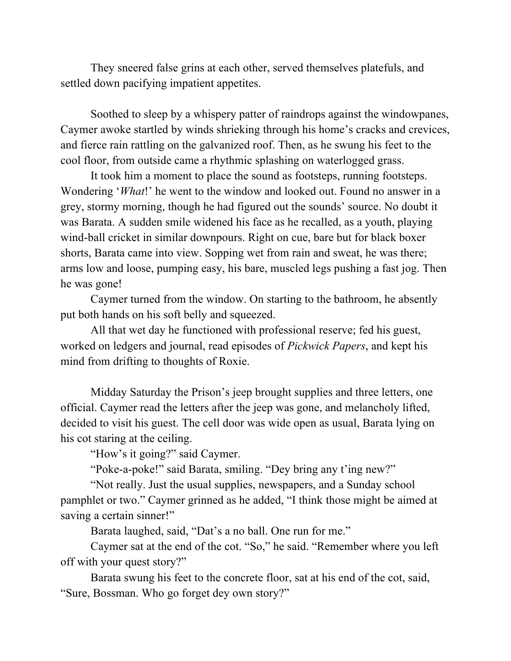They sneered false grins at each other, served themselves platefuls, and settled down pacifying impatient appetites.

Soothed to sleep by a whispery patter of raindrops against the windowpanes, Caymer awoke startled by winds shrieking through his home's cracks and crevices, and fierce rain rattling on the galvanized roof. Then, as he swung his feet to the cool floor, from outside came a rhythmic splashing on waterlogged grass.

It took him a moment to place the sound as footsteps, running footsteps. Wondering '*What*!' he went to the window and looked out. Found no answer in a grey, stormy morning, though he had figured out the sounds' source. No doubt it was Barata. A sudden smile widened his face as he recalled, as a youth, playing wind-ball cricket in similar downpours. Right on cue, bare but for black boxer shorts, Barata came into view. Sopping wet from rain and sweat, he was there; arms low and loose, pumping easy, his bare, muscled legs pushing a fast jog. Then he was gone!

Caymer turned from the window. On starting to the bathroom, he absently put both hands on his soft belly and squeezed.

All that wet day he functioned with professional reserve; fed his guest, worked on ledgers and journal, read episodes of *Pickwick Papers*, and kept his mind from drifting to thoughts of Roxie.

Midday Saturday the Prison's jeep brought supplies and three letters, one official. Caymer read the letters after the jeep was gone, and melancholy lifted, decided to visit his guest. The cell door was wide open as usual, Barata lying on his cot staring at the ceiling.

"How's it going?" said Caymer.

"Poke-a-poke!" said Barata, smiling. "Dey bring any t'ing new?"

"Not really. Just the usual supplies, newspapers, and a Sunday school pamphlet or two." Caymer grinned as he added, "I think those might be aimed at saving a certain sinner!"

Barata laughed, said, "Dat's a no ball. One run for me."

Caymer sat at the end of the cot. "So," he said. "Remember where you left off with your quest story?"

Barata swung his feet to the concrete floor, sat at his end of the cot, said, "Sure, Bossman. Who go forget dey own story?"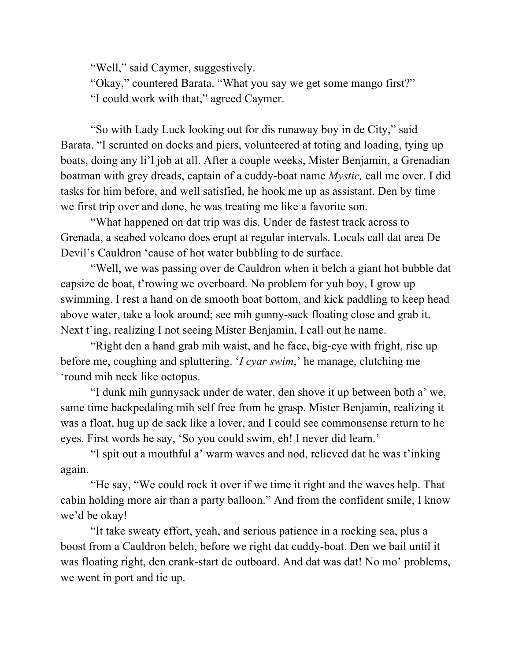"Well," said Caymer, suggestively.

"Okay," countered Barata. "What you say we get some mango first?" "I could work with that," agreed Caymer.

"So with Lady Luck looking out for dis runaway boy in de City," said Barata. "I scrunted on docks and piers, volunteered at toting and loading, tying up boats, doing any li'l job at all. After a couple weeks, Mister Benjamin, a Grenadian boatman with grey dreads, captain of a cuddy-boat name *Mystic,* call me over. I did tasks for him before, and well satisfied, he hook me up as assistant. Den by time we first trip over and done, he was treating me like a favorite son.

"What happened on dat trip was dis. Under de fastest track across to Grenada, a seabed volcano does erupt at regular intervals. Locals call dat area De Devil's Cauldron 'cause of hot water bubbling to de surface.

"Well, we was passing over de Cauldron when it belch a giant hot bubble dat capsize de boat, t'rowing we overboard. No problem for yuh boy, I grow up swimming. I rest a hand on de smooth boat bottom, and kick paddling to keep head above water, take a look around; see mih gunny-sack floating close and grab it. Next t'ing, realizing I not seeing Mister Benjamin, I call out he name.

"Right den a hand grab mih waist, and he face, big-eye with fright, rise up before me, coughing and spluttering. '*I cyar swim*,' he manage, clutching me 'round mih neck like octopus.

"I dunk mih gunnysack under de water, den shove it up between both a' we, same time backpedaling mih self free from he grasp. Mister Benjamin, realizing it was a float, hug up de sack like a lover, and I could see commonsense return to he eyes. First words he say, 'So you could swim, eh! I never did learn.'

"I spit out a mouthful a' warm waves and nod, relieved dat he was t'inking again.

"He say, "We could rock it over if we time it right and the waves help. That cabin holding more air than a party balloon." And from the confident smile, I know we'd be okay!

"It take sweaty effort, yeah, and serious patience in a rocking sea, plus a boost from a Cauldron belch, before we right dat cuddy-boat. Den we bail until it was floating right, den crank-start de outboard. And dat was dat! No mo' problems, we went in port and tie up.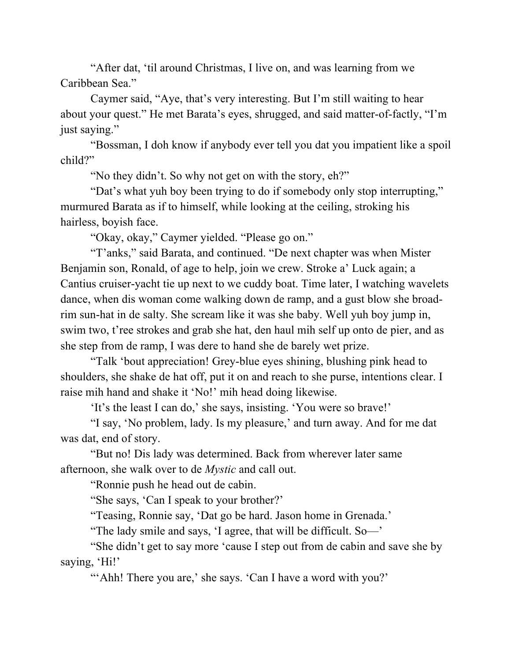"After dat, 'til around Christmas, I live on, and was learning from we Caribbean Sea."

Caymer said, "Aye, that's very interesting. But I'm still waiting to hear about your quest." He met Barata's eyes, shrugged, and said matter-of-factly, "I'm just saying."

"Bossman, I doh know if anybody ever tell you dat you impatient like a spoil child?"

"No they didn't. So why not get on with the story, eh?"

"Dat's what yuh boy been trying to do if somebody only stop interrupting," murmured Barata as if to himself, while looking at the ceiling, stroking his hairless, boyish face.

"Okay, okay," Caymer yielded. "Please go on."

"T'anks," said Barata, and continued. "De next chapter was when Mister Benjamin son, Ronald, of age to help, join we crew. Stroke a' Luck again; a Cantius cruiser-yacht tie up next to we cuddy boat. Time later, I watching wavelets dance, when dis woman come walking down de ramp, and a gust blow she broadrim sun-hat in de salty. She scream like it was she baby. Well yuh boy jump in, swim two, t'ree strokes and grab she hat, den haul mih self up onto de pier, and as she step from de ramp, I was dere to hand she de barely wet prize.

"Talk 'bout appreciation! Grey-blue eyes shining, blushing pink head to shoulders, she shake de hat off, put it on and reach to she purse, intentions clear. I raise mih hand and shake it 'No!' mih head doing likewise.

'It's the least I can do,' she says, insisting. 'You were so brave!'

"I say, 'No problem, lady. Is my pleasure,' and turn away. And for me dat was dat, end of story.

"But no! Dis lady was determined. Back from wherever later same afternoon, she walk over to de *Mystic* and call out.

"Ronnie push he head out de cabin.

"She says, 'Can I speak to your brother?'

"Teasing, Ronnie say, 'Dat go be hard. Jason home in Grenada.'

"The lady smile and says, 'I agree, that will be difficult. So—'

"She didn't get to say more 'cause I step out from de cabin and save she by saying, 'Hi!'

"'Ahh! There you are,' she says. 'Can I have a word with you?'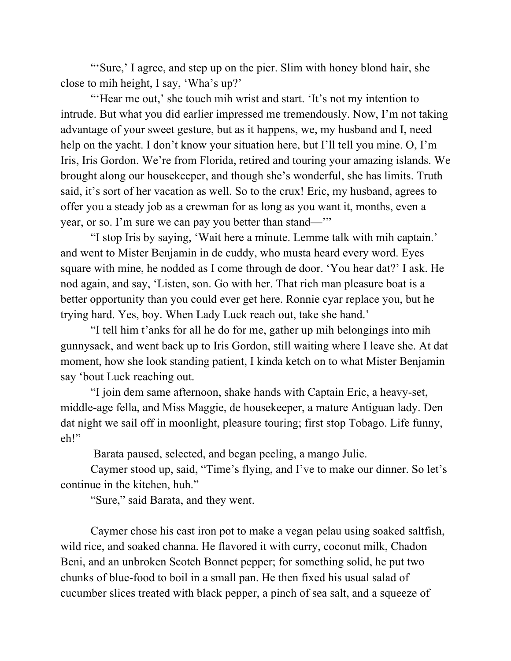"'Sure,' I agree, and step up on the pier. Slim with honey blond hair, she close to mih height, I say, 'Wha's up?'

"'Hear me out,' she touch mih wrist and start. 'It's not my intention to intrude. But what you did earlier impressed me tremendously. Now, I'm not taking advantage of your sweet gesture, but as it happens, we, my husband and I, need help on the yacht. I don't know your situation here, but I'll tell you mine. O, I'm Iris, Iris Gordon. We're from Florida, retired and touring your amazing islands. We brought along our housekeeper, and though she's wonderful, she has limits. Truth said, it's sort of her vacation as well. So to the crux! Eric, my husband, agrees to offer you a steady job as a crewman for as long as you want it, months, even a year, or so. I'm sure we can pay you better than stand—'"

"I stop Iris by saying, 'Wait here a minute. Lemme talk with mih captain.' and went to Mister Benjamin in de cuddy, who musta heard every word. Eyes square with mine, he nodded as I come through de door. 'You hear dat?' I ask. He nod again, and say, 'Listen, son. Go with her. That rich man pleasure boat is a better opportunity than you could ever get here. Ronnie cyar replace you, but he trying hard. Yes, boy. When Lady Luck reach out, take she hand.'

"I tell him t'anks for all he do for me, gather up mih belongings into mih gunnysack, and went back up to Iris Gordon, still waiting where I leave she. At dat moment, how she look standing patient, I kinda ketch on to what Mister Benjamin say 'bout Luck reaching out.

"I join dem same afternoon, shake hands with Captain Eric, a heavy-set, middle-age fella, and Miss Maggie, de housekeeper, a mature Antiguan lady. Den dat night we sail off in moonlight, pleasure touring; first stop Tobago. Life funny, eh!"

Barata paused, selected, and began peeling, a mango Julie.

Caymer stood up, said, "Time's flying, and I've to make our dinner. So let's continue in the kitchen, huh."

"Sure," said Barata, and they went.

Caymer chose his cast iron pot to make a vegan pelau using soaked saltfish, wild rice, and soaked channa. He flavored it with curry, coconut milk, Chadon Beni, and an unbroken Scotch Bonnet pepper; for something solid, he put two chunks of blue-food to boil in a small pan. He then fixed his usual salad of cucumber slices treated with black pepper, a pinch of sea salt, and a squeeze of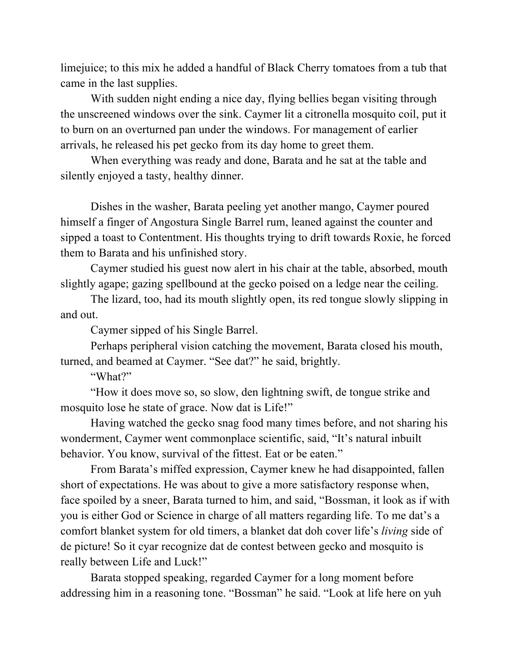limejuice; to this mix he added a handful of Black Cherry tomatoes from a tub that came in the last supplies.

With sudden night ending a nice day, flying bellies began visiting through the unscreened windows over the sink. Caymer lit a citronella mosquito coil, put it to burn on an overturned pan under the windows. For management of earlier arrivals, he released his pet gecko from its day home to greet them.

When everything was ready and done, Barata and he sat at the table and silently enjoyed a tasty, healthy dinner.

Dishes in the washer, Barata peeling yet another mango, Caymer poured himself a finger of Angostura Single Barrel rum, leaned against the counter and sipped a toast to Contentment. His thoughts trying to drift towards Roxie, he forced them to Barata and his unfinished story.

Caymer studied his guest now alert in his chair at the table, absorbed, mouth slightly agape; gazing spellbound at the gecko poised on a ledge near the ceiling.

The lizard, too, had its mouth slightly open, its red tongue slowly slipping in and out.

Caymer sipped of his Single Barrel.

Perhaps peripheral vision catching the movement, Barata closed his mouth, turned, and beamed at Caymer. "See dat?" he said, brightly.

"What?"

"How it does move so, so slow, den lightning swift, de tongue strike and mosquito lose he state of grace. Now dat is Life!"

Having watched the gecko snag food many times before, and not sharing his wonderment, Caymer went commonplace scientific, said, "It's natural inbuilt behavior. You know, survival of the fittest. Eat or be eaten."

From Barata's miffed expression, Caymer knew he had disappointed, fallen short of expectations. He was about to give a more satisfactory response when, face spoiled by a sneer, Barata turned to him, and said, "Bossman, it look as if with you is either God or Science in charge of all matters regarding life. To me dat's a comfort blanket system for old timers, a blanket dat doh cover life's *living* side of de picture! So it cyar recognize dat de contest between gecko and mosquito is really between Life and Luck!"

Barata stopped speaking, regarded Caymer for a long moment before addressing him in a reasoning tone. "Bossman" he said. "Look at life here on yuh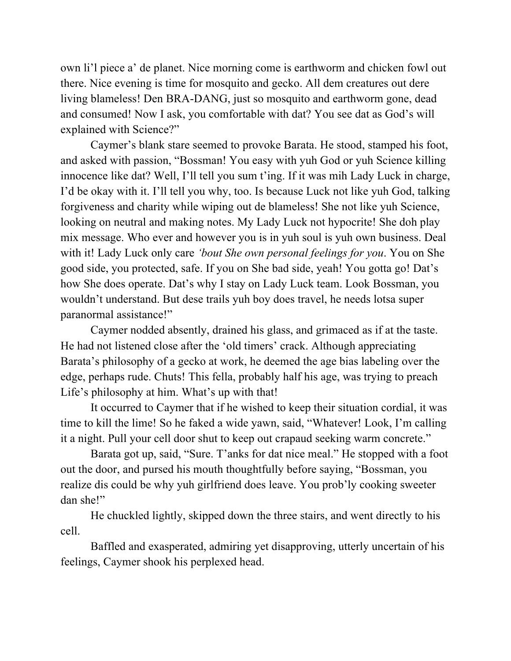own li'l piece a' de planet. Nice morning come is earthworm and chicken fowl out there. Nice evening is time for mosquito and gecko. All dem creatures out dere living blameless! Den BRA-DANG, just so mosquito and earthworm gone, dead and consumed! Now I ask, you comfortable with dat? You see dat as God's will explained with Science?"

Caymer's blank stare seemed to provoke Barata. He stood, stamped his foot, and asked with passion, "Bossman! You easy with yuh God or yuh Science killing innocence like dat? Well, I'll tell you sum t'ing. If it was mih Lady Luck in charge, I'd be okay with it. I'll tell you why, too. Is because Luck not like yuh God, talking forgiveness and charity while wiping out de blameless! She not like yuh Science, looking on neutral and making notes. My Lady Luck not hypocrite! She doh play mix message. Who ever and however you is in yuh soul is yuh own business. Deal with it! Lady Luck only care *'bout She own personal feelings for you*. You on She good side, you protected, safe. If you on She bad side, yeah! You gotta go! Dat's how She does operate. Dat's why I stay on Lady Luck team. Look Bossman, you wouldn't understand. But dese trails yuh boy does travel, he needs lotsa super paranormal assistance!"

Caymer nodded absently, drained his glass, and grimaced as if at the taste. He had not listened close after the 'old timers' crack. Although appreciating Barata's philosophy of a gecko at work, he deemed the age bias labeling over the edge, perhaps rude. Chuts! This fella, probably half his age, was trying to preach Life's philosophy at him. What's up with that!

It occurred to Caymer that if he wished to keep their situation cordial, it was time to kill the lime! So he faked a wide yawn, said, "Whatever! Look, I'm calling it a night. Pull your cell door shut to keep out crapaud seeking warm concrete."

Barata got up, said, "Sure. T'anks for dat nice meal." He stopped with a foot out the door, and pursed his mouth thoughtfully before saying, "Bossman, you realize dis could be why yuh girlfriend does leave. You prob'ly cooking sweeter dan she!"

He chuckled lightly, skipped down the three stairs, and went directly to his cell.

Baffled and exasperated, admiring yet disapproving, utterly uncertain of his feelings, Caymer shook his perplexed head.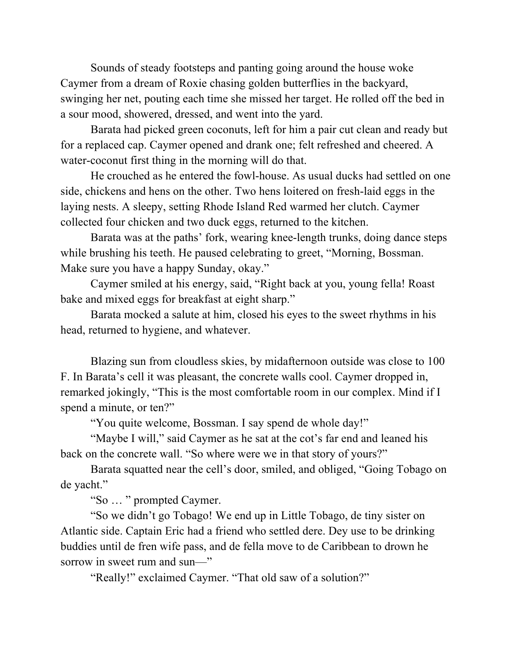Sounds of steady footsteps and panting going around the house woke Caymer from a dream of Roxie chasing golden butterflies in the backyard, swinging her net, pouting each time she missed her target. He rolled off the bed in a sour mood, showered, dressed, and went into the yard.

Barata had picked green coconuts, left for him a pair cut clean and ready but for a replaced cap. Caymer opened and drank one; felt refreshed and cheered. A water-coconut first thing in the morning will do that.

He crouched as he entered the fowl-house. As usual ducks had settled on one side, chickens and hens on the other. Two hens loitered on fresh-laid eggs in the laying nests. A sleepy, setting Rhode Island Red warmed her clutch. Caymer collected four chicken and two duck eggs, returned to the kitchen.

Barata was at the paths' fork, wearing knee-length trunks, doing dance steps while brushing his teeth. He paused celebrating to greet, "Morning, Bossman. Make sure you have a happy Sunday, okay."

Caymer smiled at his energy, said, "Right back at you, young fella! Roast bake and mixed eggs for breakfast at eight sharp."

Barata mocked a salute at him, closed his eyes to the sweet rhythms in his head, returned to hygiene, and whatever.

Blazing sun from cloudless skies, by midafternoon outside was close to 100 F. In Barata's cell it was pleasant, the concrete walls cool. Caymer dropped in, remarked jokingly, "This is the most comfortable room in our complex. Mind if I spend a minute, or ten?"

"You quite welcome, Bossman. I say spend de whole day!"

"Maybe I will," said Caymer as he sat at the cot's far end and leaned his back on the concrete wall. "So where were we in that story of yours?"

Barata squatted near the cell's door, smiled, and obliged, "Going Tobago on de yacht."

"So … " prompted Caymer.

"So we didn't go Tobago! We end up in Little Tobago, de tiny sister on Atlantic side. Captain Eric had a friend who settled dere. Dey use to be drinking buddies until de fren wife pass, and de fella move to de Caribbean to drown he sorrow in sweet rum and sun—"

"Really!" exclaimed Caymer. "That old saw of a solution?"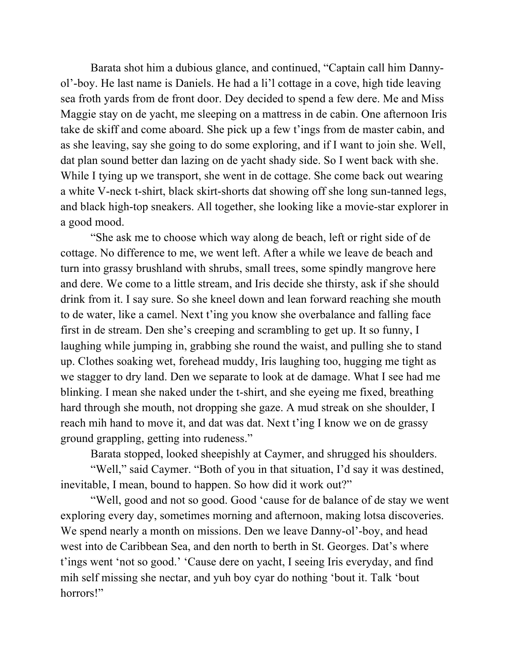Barata shot him a dubious glance, and continued, "Captain call him Dannyol'-boy. He last name is Daniels. He had a li'l cottage in a cove, high tide leaving sea froth yards from de front door. Dey decided to spend a few dere. Me and Miss Maggie stay on de yacht, me sleeping on a mattress in de cabin. One afternoon Iris take de skiff and come aboard. She pick up a few t'ings from de master cabin, and as she leaving, say she going to do some exploring, and if I want to join she. Well, dat plan sound better dan lazing on de yacht shady side. So I went back with she. While I tying up we transport, she went in de cottage. She come back out wearing a white V-neck t-shirt, black skirt-shorts dat showing off she long sun-tanned legs, and black high-top sneakers. All together, she looking like a movie-star explorer in a good mood.

"She ask me to choose which way along de beach, left or right side of de cottage. No difference to me, we went left. After a while we leave de beach and turn into grassy brushland with shrubs, small trees, some spindly mangrove here and dere. We come to a little stream, and Iris decide she thirsty, ask if she should drink from it. I say sure. So she kneel down and lean forward reaching she mouth to de water, like a camel. Next t'ing you know she overbalance and falling face first in de stream. Den she's creeping and scrambling to get up. It so funny, I laughing while jumping in, grabbing she round the waist, and pulling she to stand up. Clothes soaking wet, forehead muddy, Iris laughing too, hugging me tight as we stagger to dry land. Den we separate to look at de damage. What I see had me blinking. I mean she naked under the t-shirt, and she eyeing me fixed, breathing hard through she mouth, not dropping she gaze. A mud streak on she shoulder, I reach mih hand to move it, and dat was dat. Next t'ing I know we on de grassy ground grappling, getting into rudeness."

Barata stopped, looked sheepishly at Caymer, and shrugged his shoulders.

"Well," said Caymer. "Both of you in that situation, I'd say it was destined, inevitable, I mean, bound to happen. So how did it work out?"

"Well, good and not so good. Good 'cause for de balance of de stay we went exploring every day, sometimes morning and afternoon, making lotsa discoveries. We spend nearly a month on missions. Den we leave Danny-ol'-boy, and head west into de Caribbean Sea, and den north to berth in St. Georges. Dat's where t'ings went 'not so good.' 'Cause dere on yacht, I seeing Iris everyday, and find mih self missing she nectar, and yuh boy cyar do nothing 'bout it. Talk 'bout horrors!"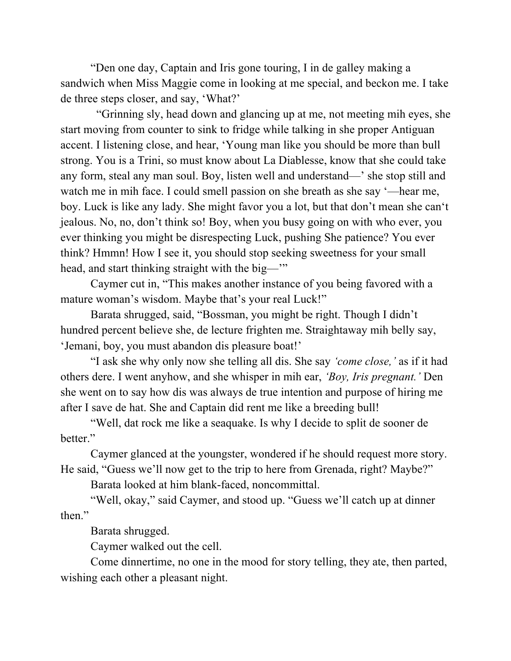"Den one day, Captain and Iris gone touring, I in de galley making a sandwich when Miss Maggie come in looking at me special, and beckon me. I take de three steps closer, and say, 'What?'

"Grinning sly, head down and glancing up at me, not meeting mih eyes, she start moving from counter to sink to fridge while talking in she proper Antiguan accent. I listening close, and hear, 'Young man like you should be more than bull strong. You is a Trini, so must know about La Diablesse, know that she could take any form, steal any man soul. Boy, listen well and understand—' she stop still and watch me in mih face. I could smell passion on she breath as she say '—hear me, boy. Luck is like any lady. She might favor you a lot, but that don't mean she can't jealous. No, no, don't think so! Boy, when you busy going on with who ever, you ever thinking you might be disrespecting Luck, pushing She patience? You ever think? Hmmn! How I see it, you should stop seeking sweetness for your small head, and start thinking straight with the big—"

Caymer cut in, "This makes another instance of you being favored with a mature woman's wisdom. Maybe that's your real Luck!"

Barata shrugged, said, "Bossman, you might be right. Though I didn't hundred percent believe she, de lecture frighten me. Straightaway mih belly say, 'Jemani, boy, you must abandon dis pleasure boat!'

"I ask she why only now she telling all dis. She say *'come close,'* as if it had others dere. I went anyhow, and she whisper in mih ear, *'Boy, Iris pregnant.'* Den she went on to say how dis was always de true intention and purpose of hiring me after I save de hat. She and Captain did rent me like a breeding bull!

"Well, dat rock me like a seaquake. Is why I decide to split de sooner de hetter<sup>"</sup>

Caymer glanced at the youngster, wondered if he should request more story. He said, "Guess we'll now get to the trip to here from Grenada, right? Maybe?"

Barata looked at him blank-faced, noncommittal.

"Well, okay," said Caymer, and stood up. "Guess we'll catch up at dinner then."

Barata shrugged.

Caymer walked out the cell.

Come dinnertime, no one in the mood for story telling, they ate, then parted, wishing each other a pleasant night.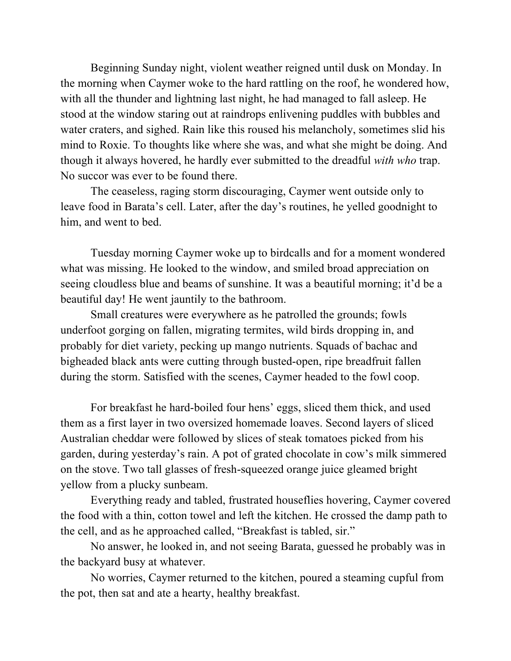Beginning Sunday night, violent weather reigned until dusk on Monday. In the morning when Caymer woke to the hard rattling on the roof, he wondered how, with all the thunder and lightning last night, he had managed to fall asleep. He stood at the window staring out at raindrops enlivening puddles with bubbles and water craters, and sighed. Rain like this roused his melancholy, sometimes slid his mind to Roxie. To thoughts like where she was, and what she might be doing. And though it always hovered, he hardly ever submitted to the dreadful *with who* trap. No succor was ever to be found there.

The ceaseless, raging storm discouraging, Caymer went outside only to leave food in Barata's cell. Later, after the day's routines, he yelled goodnight to him, and went to bed.

Tuesday morning Caymer woke up to birdcalls and for a moment wondered what was missing. He looked to the window, and smiled broad appreciation on seeing cloudless blue and beams of sunshine. It was a beautiful morning; it'd be a beautiful day! He went jauntily to the bathroom.

Small creatures were everywhere as he patrolled the grounds; fowls underfoot gorging on fallen, migrating termites, wild birds dropping in, and probably for diet variety, pecking up mango nutrients. Squads of bachac and bigheaded black ants were cutting through busted-open, ripe breadfruit fallen during the storm. Satisfied with the scenes, Caymer headed to the fowl coop.

For breakfast he hard-boiled four hens' eggs, sliced them thick, and used them as a first layer in two oversized homemade loaves. Second layers of sliced Australian cheddar were followed by slices of steak tomatoes picked from his garden, during yesterday's rain. A pot of grated chocolate in cow's milk simmered on the stove. Two tall glasses of fresh-squeezed orange juice gleamed bright yellow from a plucky sunbeam.

Everything ready and tabled, frustrated houseflies hovering, Caymer covered the food with a thin, cotton towel and left the kitchen. He crossed the damp path to the cell, and as he approached called, "Breakfast is tabled, sir."

No answer, he looked in, and not seeing Barata, guessed he probably was in the backyard busy at whatever.

No worries, Caymer returned to the kitchen, poured a steaming cupful from the pot, then sat and ate a hearty, healthy breakfast.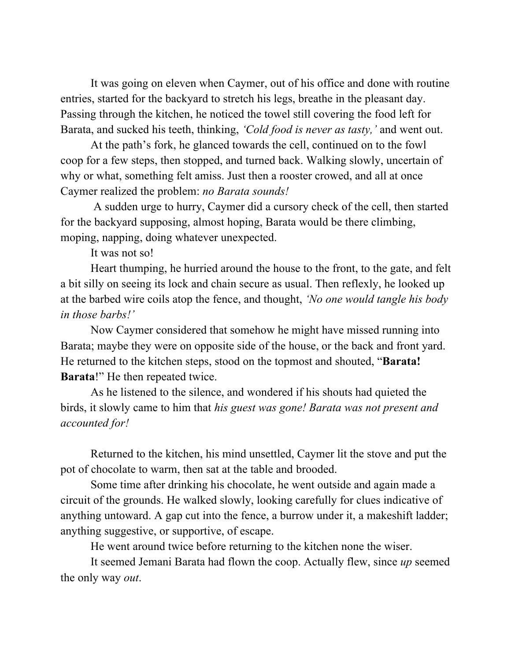It was going on eleven when Caymer, out of his office and done with routine entries, started for the backyard to stretch his legs, breathe in the pleasant day. Passing through the kitchen, he noticed the towel still covering the food left for Barata, and sucked his teeth, thinking, *'Cold food is never as tasty,'* and went out.

At the path's fork, he glanced towards the cell, continued on to the fowl coop for a few steps, then stopped, and turned back. Walking slowly, uncertain of why or what, something felt amiss. Just then a rooster crowed, and all at once Caymer realized the problem: *no Barata sounds!*

A sudden urge to hurry, Caymer did a cursory check of the cell, then started for the backyard supposing, almost hoping, Barata would be there climbing, moping, napping, doing whatever unexpected.

It was not so!

Heart thumping, he hurried around the house to the front, to the gate, and felt a bit silly on seeing its lock and chain secure as usual. Then reflexly, he looked up at the barbed wire coils atop the fence, and thought, *'No one would tangle his body in those barbs!'*

Now Caymer considered that somehow he might have missed running into Barata; maybe they were on opposite side of the house, or the back and front yard. He returned to the kitchen steps, stood on the topmost and shouted, "**Barata! Barata**!" He then repeated twice.

As he listened to the silence, and wondered if his shouts had quieted the birds, it slowly came to him that *his guest was gone! Barata was not present and accounted for!*

Returned to the kitchen, his mind unsettled, Caymer lit the stove and put the pot of chocolate to warm, then sat at the table and brooded.

Some time after drinking his chocolate, he went outside and again made a circuit of the grounds. He walked slowly, looking carefully for clues indicative of anything untoward. A gap cut into the fence, a burrow under it, a makeshift ladder; anything suggestive, or supportive, of escape.

He went around twice before returning to the kitchen none the wiser.

It seemed Jemani Barata had flown the coop. Actually flew, since *up* seemed the only way *out*.